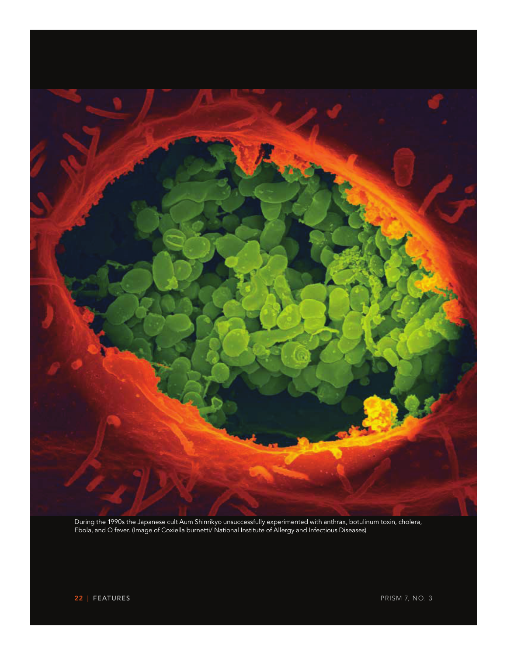

During the 1990s the Japanese cult Aum Shinrikyo unsuccessfully experimented with anthrax, botulinum toxin, cholera, Ebola, and Q fever. (Image of Coxiella burnetti/ National Institute of Allergy and Infectious Diseases)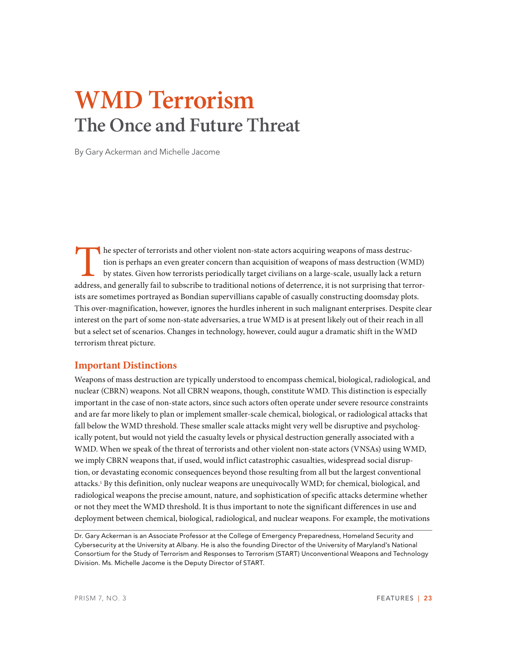# **WMD Terrorism The Once and Future Threat**

By Gary Ackerman and Michelle Jacome

The specter of terrorists and other violent non-state actors acquiring weapons of mass destruction is perhaps an even greater concern than acquisition of weapons of mass destruction (WM by states. Given how terrorists peri tion is perhaps an even greater concern than acquisition of weapons of mass destruction (WMD) by states. Given how terrorists periodically target civilians on a large-scale, usually lack a return address, and generally fail to subscribe to traditional notions of deterrence, it is not surprising that terrorists are sometimes portrayed as Bondian supervillians capable of casually constructing doomsday plots. This over-magnification, however, ignores the hurdles inherent in such malignant enterprises. Despite clear interest on the part of some non-state adversaries, a true WMD is at present likely out of their reach in all but a select set of scenarios. Changes in technology, however, could augur a dramatic shift in the WMD terrorism threat picture.

# **Important Distinctions**

Weapons of mass destruction are typically understood to encompass chemical, biological, radiological, and nuclear (CBRN) weapons. Not all CBRN weapons, though, constitute WMD. This distinction is especially important in the case of non-state actors, since such actors often operate under severe resource constraints and are far more likely to plan or implement smaller-scale chemical, biological, or radiological attacks that fall below the WMD threshold. These smaller scale attacks might very well be disruptive and psychologically potent, but would not yield the casualty levels or physical destruction generally associated with a WMD. When we speak of the threat of terrorists and other violent non-state actors (VNSAs) using WMD, we imply CBRN weapons that, if used, would inflict catastrophic casualties, widespread social disruption, or devastating economic consequences beyond those resulting from all but the largest conventional attacks.1 By this definition, only nuclear weapons are unequivocally WMD; for chemical, biological, and radiological weapons the precise amount, nature, and sophistication of specific attacks determine whether or not they meet the WMD threshold. It is thus important to note the significant differences in use and deployment between chemical, biological, radiological, and nuclear weapons. For example, the motivations

Dr. Gary Ackerman is an Associate Professor at the College of Emergency Preparedness, Homeland Security and Cybersecurity at the University at Albany. He is also the founding Director of the University of Maryland's National Consortium for the Study of Terrorism and Responses to Terrorism (START) Unconventional Weapons and Technology Division. Ms. Michelle Jacome is the Deputy Director of START.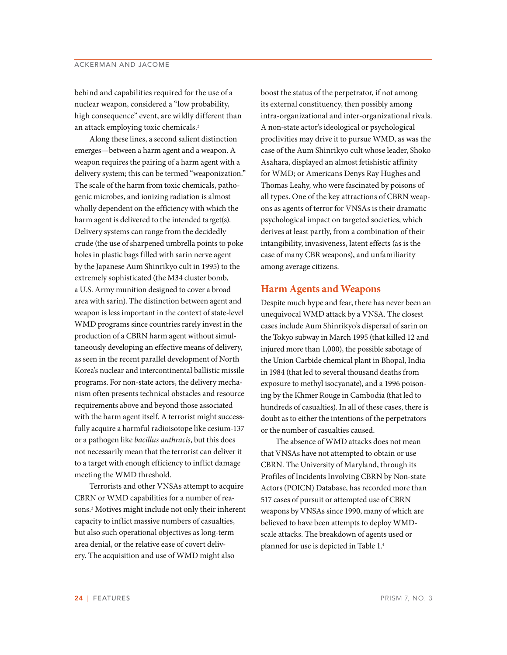## ACKERMAN AND JACOME

behind and capabilities required for the use of a nuclear weapon, considered a "low probability, high consequence" event, are wildly different than an attack employing toxic chemicals.<sup>2</sup>

Along these lines, a second salient distinction emerges—between a harm agent and a weapon. A weapon requires the pairing of a harm agent with a delivery system; this can be termed "weaponization." The scale of the harm from toxic chemicals, pathogenic microbes, and ionizing radiation is almost wholly dependent on the efficiency with which the harm agent is delivered to the intended target(s). Delivery systems can range from the decidedly crude (the use of sharpened umbrella points to poke holes in plastic bags filled with sarin nerve agent by the Japanese Aum Shinrikyo cult in 1995) to the extremely sophisticated (the M34 cluster bomb, a U.S. Army munition designed to cover a broad area with sarin). The distinction between agent and weapon is less important in the context of state-level WMD programs since countries rarely invest in the production of a CBRN harm agent without simultaneously developing an effective means of delivery, as seen in the recent parallel development of North Korea's nuclear and intercontinental ballistic missile programs. For non-state actors, the delivery mechanism often presents technical obstacles and resource requirements above and beyond those associated with the harm agent itself. A terrorist might successfully acquire a harmful radioisotope like cesium-137 or a pathogen like *bacillus anthracis*, but this does not necessarily mean that the terrorist can deliver it to a target with enough efficiency to inflict damage meeting the WMD threshold.

Terrorists and other VNSAs attempt to acquire CBRN or WMD capabilities for a number of reasons.3 Motives might include not only their inherent capacity to inflict massive numbers of casualties, but also such operational objectives as long-term area denial, or the relative ease of covert delivery. The acquisition and use of WMD might also

boost the status of the perpetrator, if not among its external constituency, then possibly among intra-organizational and inter-organizational rivals. A non-state actor's ideological or psychological proclivities may drive it to pursue WMD, as was the case of the Aum Shinrikyo cult whose leader, Shoko Asahara, displayed an almost fetishistic affinity for WMD; or Americans Denys Ray Hughes and Thomas Leahy, who were fascinated by poisons of all types. One of the key attractions of CBRN weapons as agents of terror for VNSAs is their dramatic psychological impact on targeted societies, which derives at least partly, from a combination of their intangibility, invasiveness, latent effects (as is the case of many CBR weapons), and unfamiliarity among average citizens.

## **Harm Agents and Weapons**

Despite much hype and fear, there has never been an unequivocal WMD attack by a VNSA. The closest cases include Aum Shinrikyo's dispersal of sarin on the Tokyo subway in March 1995 (that killed 12 and injured more than 1,000), the possible sabotage of the Union Carbide chemical plant in Bhopal, India in 1984 (that led to several thousand deaths from exposure to methyl isocyanate), and a 1996 poisoning by the Khmer Rouge in Cambodia (that led to hundreds of casualties). In all of these cases, there is doubt as to either the intentions of the perpetrators or the number of casualties caused.

The absence of WMD attacks does not mean that VNSAs have not attempted to obtain or use CBRN. The University of Maryland, through its Profiles of Incidents Involving CBRN by Non-state Actors (POICN) Database, has recorded more than 517 cases of pursuit or attempted use of CBRN weapons by VNSAs since 1990, many of which are believed to have been attempts to deploy WMDscale attacks. The breakdown of agents used or planned for use is depicted in Table 1.4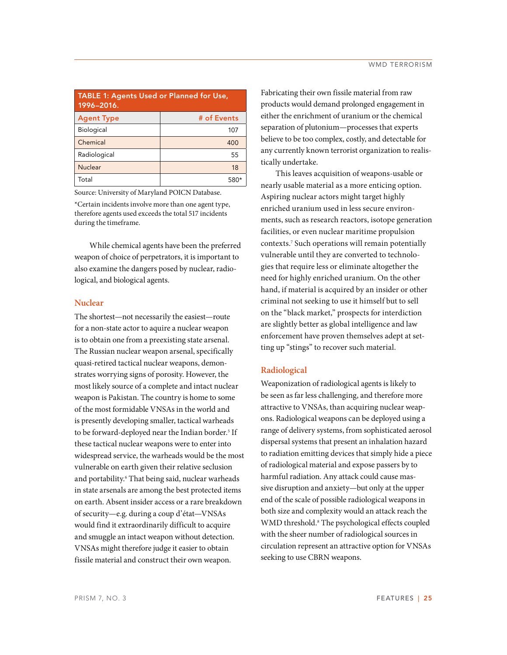| <b>TABLE 1: Agents Used or Planned for Use,</b><br>1996-2016. |             |
|---------------------------------------------------------------|-------------|
| <b>Agent Type</b>                                             | # of Events |
| Biological                                                    | 107         |
| Chemical                                                      | 400         |
| Radiological                                                  | 55          |
| <b>Nuclear</b>                                                | 18          |
| Total                                                         |             |

Source: University of Maryland POICN Database.

\*Certain incidents involve more than one agent type, therefore agents used exceeds the total 517 incidents during the timeframe.

While chemical agents have been the preferred weapon of choice of perpetrators, it is important to also examine the dangers posed by nuclear, radiological, and biological agents.

### **Nuclear**

The shortest—not necessarily the easiest—route for a non-state actor to aquire a nuclear weapon is to obtain one from a preexisting state arsenal. The Russian nuclear weapon arsenal, specifically quasi-retired tactical nuclear weapons, demonstrates worrying signs of porosity. However, the most likely source of a complete and intact nuclear weapon is Pakistan. The country is home to some of the most formidable VNSAs in the world and is presently developing smaller, tactical warheads to be forward-deployed near the Indian border.<sup>5</sup> If these tactical nuclear weapons were to enter into widespread service, the warheads would be the most vulnerable on earth given their relative seclusion and portability.6 That being said, nuclear warheads in state arsenals are among the best protected items on earth. Absent insider access or a rare breakdown of security—e.g. during a coup d'état—VNSAs would find it extraordinarily difficult to acquire and smuggle an intact weapon without detection. VNSAs might therefore judge it easier to obtain fissile material and construct their own weapon.

Fabricating their own fissile material from raw products would demand prolonged engagement in either the enrichment of uranium or the chemical separation of plutonium—processes that experts believe to be too complex, costly, and detectable for any currently known terrorist organization to realistically undertake.

This leaves acquisition of weapons-usable or nearly usable material as a more enticing option. Aspiring nuclear actors might target highly enriched uranium used in less secure environments, such as research reactors, isotope generation facilities, or even nuclear maritime propulsion contexts.7 Such operations will remain potentially vulnerable until they are converted to technologies that require less or eliminate altogether the need for highly enriched uranium. On the other hand, if material is acquired by an insider or other criminal not seeking to use it himself but to sell on the "black market," prospects for interdiction are slightly better as global intelligence and law enforcement have proven themselves adept at setting up "stings" to recover such material.

### **Radiological**

Weaponization of radiological agents is likely to be seen as far less challenging, and therefore more attractive to VNSAs, than acquiring nuclear weapons. Radiological weapons can be deployed using a range of delivery systems, from sophisticated aerosol dispersal systems that present an inhalation hazard to radiation emitting devices that simply hide a piece of radiological material and expose passers by to harmful radiation. Any attack could cause massive disruption and anxiety—but only at the upper end of the scale of possible radiological weapons in both size and complexity would an attack reach the WMD threshold.<sup>8</sup> The psychological effects coupled with the sheer number of radiological sources in circulation represent an attractive option for VNSAs seeking to use CBRN weapons.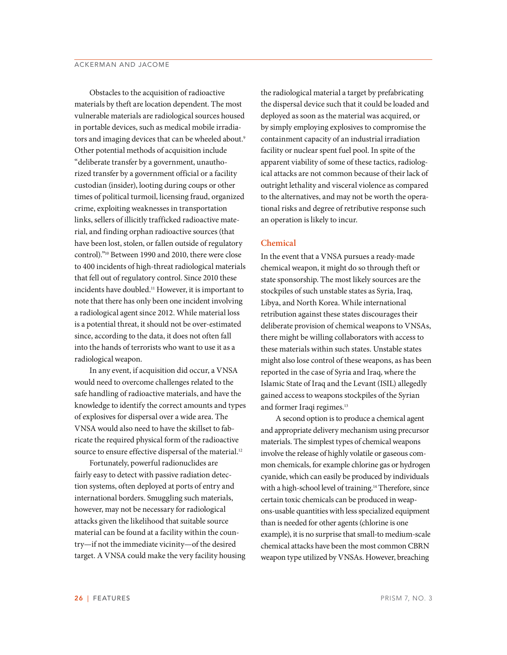Obstacles to the acquisition of radioactive materials by theft are location dependent. The most vulnerable materials are radiological sources housed in portable devices, such as medical mobile irradiators and imaging devices that can be wheeled about.<sup>9</sup> Other potential methods of acquisition include "deliberate transfer by a government, unauthorized transfer by a government official or a facility custodian (insider), looting during coups or other times of political turmoil, licensing fraud, organized crime, exploiting weaknesses in transportation links, sellers of illicitly trafficked radioactive material, and finding orphan radioactive sources (that have been lost, stolen, or fallen outside of regulatory control)."10 Between 1990 and 2010, there were close to 400 incidents of high-threat radiological materials that fell out of regulatory control. Since 2010 these incidents have doubled.11 However, it is important to note that there has only been one incident involving a radiological agent since 2012. While material loss is a potential threat, it should not be over-estimated since, according to the data, it does not often fall into the hands of terrorists who want to use it as a radiological weapon.

In any event, if acquisition did occur, a VNSA would need to overcome challenges related to the safe handling of radioactive materials, and have the knowledge to identify the correct amounts and types of explosives for dispersal over a wide area. The VNSA would also need to have the skillset to fabricate the required physical form of the radioactive source to ensure effective dispersal of the material.<sup>12</sup>

Fortunately, powerful radionuclides are fairly easy to detect with passive radiation detection systems, often deployed at ports of entry and international borders. Smuggling such materials, however, may not be necessary for radiological attacks given the likelihood that suitable source material can be found at a facility within the country—if not the immediate vicinity—of the desired target. A VNSA could make the very facility housing

the radiological material a target by prefabricating the dispersal device such that it could be loaded and deployed as soon as the material was acquired, or by simply employing explosives to compromise the containment capacity of an industrial irradiation facility or nuclear spent fuel pool. In spite of the apparent viability of some of these tactics, radiological attacks are not common because of their lack of outright lethality and visceral violence as compared to the alternatives, and may not be worth the operational risks and degree of retributive response such an operation is likely to incur.

### **Chemical**

In the event that a VNSA pursues a ready-made chemical weapon, it might do so through theft or state sponsorship. The most likely sources are the stockpiles of such unstable states as Syria, Iraq, Libya, and North Korea. While international retribution against these states discourages their deliberate provision of chemical weapons to VNSAs, there might be willing collaborators with access to these materials within such states. Unstable states might also lose control of these weapons, as has been reported in the case of Syria and Iraq, where the Islamic State of Iraq and the Levant (ISIL) allegedly gained access to weapons stockpiles of the Syrian and former Iraqi regimes.<sup>13</sup>

A second option is to produce a chemical agent and appropriate delivery mechanism using precursor materials. The simplest types of chemical weapons involve the release of highly volatile or gaseous common chemicals, for example chlorine gas or hydrogen cyanide, which can easily be produced by individuals with a high-school level of training.<sup>14</sup> Therefore, since certain toxic chemicals can be produced in weapons-usable quantities with less specialized equipment than is needed for other agents (chlorine is one example), it is no surprise that small-to medium-scale chemical attacks have been the most common CBRN weapon type utilized by VNSAs. However, breaching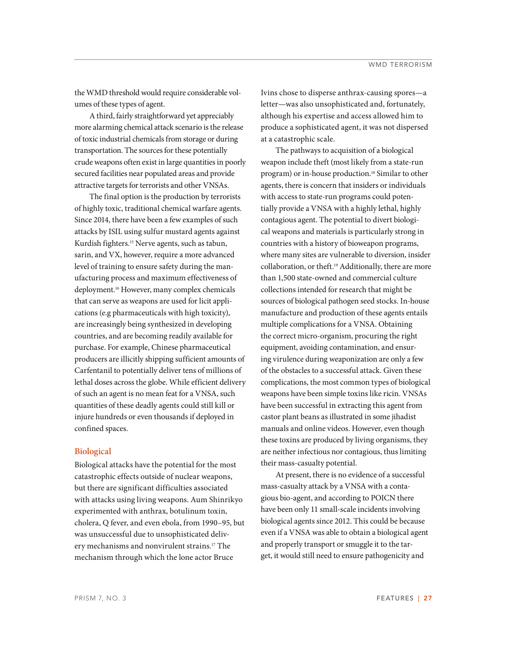the WMD threshold would require considerable volumes of these types of agent.

A third, fairly straightforward yet appreciably more alarming chemical attack scenario is the release of toxic industrial chemicals from storage or during transportation. The sources for these potentially crude weapons often exist in large quantities in poorly secured facilities near populated areas and provide attractive targets for terrorists and other VNSAs.

The final option is the production by terrorists of highly toxic, traditional chemical warfare agents. Since 2014, there have been a few examples of such attacks by ISIL using sulfur mustard agents against Kurdish fighters.15 Nerve agents, such as tabun, sarin, and VX, however, require a more advanced level of training to ensure safety during the manufacturing process and maximum effectiveness of deployment.16 However, many complex chemicals that can serve as weapons are used for licit applications (e.g pharmaceuticals with high toxicity), are increasingly being synthesized in developing countries, and are becoming readily available for purchase. For example, Chinese pharmaceutical producers are illicitly shipping sufficient amounts of Carfentanil to potentially deliver tens of millions of lethal doses across the globe. While efficient delivery of such an agent is no mean feat for a VNSA, such quantities of these deadly agents could still kill or injure hundreds or even thousands if deployed in confined spaces.

#### **Biological**

Biological attacks have the potential for the most catastrophic effects outside of nuclear weapons, but there are significant difficulties associated with attacks using living weapons. Aum Shinrikyo experimented with anthrax, botulinum toxin, cholera, Q fever, and even ebola, from 1990–95, but was unsuccessful due to unsophisticated delivery mechanisms and nonvirulent strains.17 The mechanism through which the lone actor Bruce

Ivins chose to disperse anthrax-causing spores—a letter—was also unsophisticated and, fortunately, although his expertise and access allowed him to produce a sophisticated agent, it was not dispersed at a catastrophic scale.

The pathways to acquisition of a biological weapon include theft (most likely from a state-run program) or in-house production.18 Similar to other agents, there is concern that insiders or individuals with access to state-run programs could potentially provide a VNSA with a highly lethal, highly contagious agent. The potential to divert biological weapons and materials is particularly strong in countries with a history of bioweapon programs, where many sites are vulnerable to diversion, insider collaboration, or theft.19 Additionally, there are more than 1,500 state-owned and commercial culture collections intended for research that might be sources of biological pathogen seed stocks. In-house manufacture and production of these agents entails multiple complications for a VNSA. Obtaining the correct micro-organism, procuring the right equipment, avoiding contamination, and ensuring virulence during weaponization are only a few of the obstacles to a successful attack. Given these complications, the most common types of biological weapons have been simple toxins like ricin. VNSAs have been successful in extracting this agent from castor plant beans as illustrated in some jihadist manuals and online videos. However, even though these toxins are produced by living organisms, they are neither infectious nor contagious, thus limiting their mass-casualty potential.

At present, there is no evidence of a successful mass-casualty attack by a VNSA with a contagious bio-agent, and according to POICN there have been only 11 small-scale incidents involving biological agents since 2012. This could be because even if a VNSA was able to obtain a biological agent and properly transport or smuggle it to the target, it would still need to ensure pathogenicity and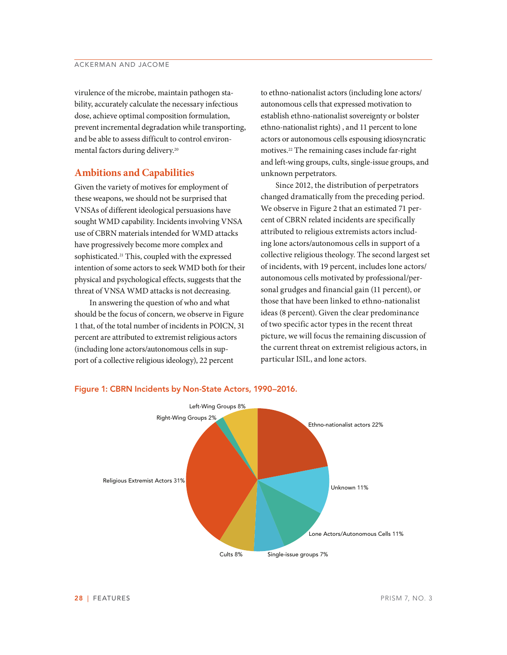virulence of the microbe, maintain pathogen stability, accurately calculate the necessary infectious dose, achieve optimal composition formulation, prevent incremental degradation while transporting, and be able to assess difficult to control environmental factors during delivery.20

## **Ambitions and Capabilities**

Given the variety of motives for employment of these weapons, we should not be surprised that VNSAs of different ideological persuasions have sought WMD capability. Incidents involving VNSA use of CBRN materials intended for WMD attacks have progressively become more complex and sophisticated.<sup>21</sup> This, coupled with the expressed intention of some actors to seek WMD both for their physical and psychological effects, suggests that the threat of VNSA WMD attacks is not decreasing.

In answering the question of who and what should be the focus of concern, we observe in Figure 1 that, of the total number of incidents in POICN, 31 percent are attributed to extremist religious actors (including lone actors/autonomous cells in support of a collective religious ideology), 22 percent

to ethno-nationalist actors (including lone actors/ autonomous cells that expressed motivation to establish ethno-nationalist sovereignty or bolster ethno-nationalist rights) , and 11 percent to lone actors or autonomous cells espousing idiosyncratic motives.22 The remaining cases include far-right and left-wing groups, cults, single-issue groups, and unknown perpetrators.

Since 2012, the distribution of perpetrators changed dramatically from the preceding period. We observe in Figure 2 that an estimated 71 percent of CBRN related incidents are specifically attributed to religious extremists actors including lone actors/autonomous cells in support of a collective religious theology. The second largest set of incidents, with 19 percent, includes lone actors/ autonomous cells motivated by professional/personal grudges and financial gain (11 percent), or those that have been linked to ethno-nationalist ideas (8 percent). Given the clear predominance of two specific actor types in the recent threat picture, we will focus the remaining discussion of the current threat on extremist religious actors, in particular ISIL, and lone actors.



## **Figure 1: CBRN Incidents by Non-State Actors, 1990–2016.**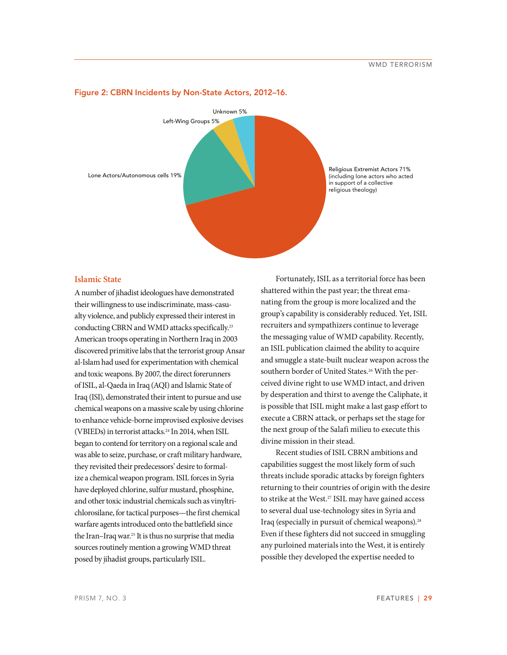

#### **Figure 2: CBRN Incidents by Non-State Actors, 2012–16.**

### **Islamic State**

A number of jihadist ideologues have demonstrated their willingness to use indiscriminate, mass-casualty violence, and publicly expressed their interest in conducting CBRN and WMD attacks specifically.23 American troops operating in Northern Iraq in 2003 discovered primitive labs that the terrorist group Ansar al-Islam had used for experimentation with chemical and toxic weapons. By 2007, the direct forerunners of ISIL, al-Qaeda in Iraq (AQI) and Islamic State of Iraq (ISI), demonstrated their intent to pursue and use chemical weapons on a massive scale by using chlorine to enhance vehicle-borne improvised explosive devises (VBIEDs) in terrorist attacks.24 In 2014, when ISIL began to contend for territory on a regional scale and was able to seize, purchase, or craft military hardware, they revisited their predecessors' desire to formalize a chemical weapon program. ISIL forces in Syria have deployed chlorine, sulfur mustard, phosphine, and other toxic industrial chemicals such as vinyltrichlorosilane, for tactical purposes—the first chemical warfare agents introduced onto the battlefield since the Iran–Iraq war.25 It is thus no surprise that media sources routinely mention a growing WMD threat posed by jihadist groups, particularly ISIL.

Fortunately, ISIL as a territorial force has been shattered within the past year; the threat emanating from the group is more localized and the group's capability is considerably reduced. Yet, ISIL recruiters and sympathizers continue to leverage the messaging value of WMD capability. Recently, an ISIL publication claimed the ability to acquire and smuggle a state-built nuclear weapon across the southern border of United States.<sup>26</sup> With the perceived divine right to use WMD intact, and driven by desperation and thirst to avenge the Caliphate, it is possible that ISIL might make a last gasp effort to execute a CBRN attack, or perhaps set the stage for the next group of the Salafi milieu to execute this divine mission in their stead.

Recent studies of ISIL CBRN ambitions and capabilities suggest the most likely form of such threats include sporadic attacks by foreign fighters returning to their countries of origin with the desire to strike at the West.<sup>27</sup> ISIL may have gained access to several dual use-technology sites in Syria and Iraq (especially in pursuit of chemical weapons).<sup>28</sup> Even if these fighters did not succeed in smuggling any purloined materials into the West, it is entirely possible they developed the expertise needed to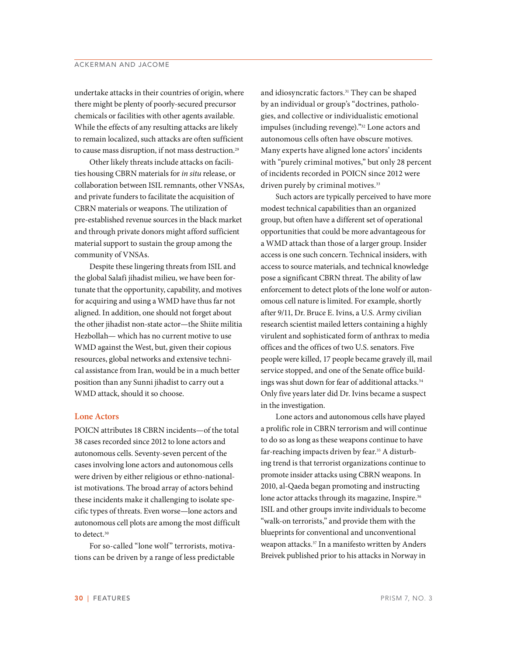undertake attacks in their countries of origin, where there might be plenty of poorly-secured precursor chemicals or facilities with other agents available. While the effects of any resulting attacks are likely to remain localized, such attacks are often sufficient to cause mass disruption, if not mass destruction.<sup>29</sup>

Other likely threats include attacks on facilities housing CBRN materials for *in situ* release, or collaboration between ISIL remnants, other VNSAs, and private funders to facilitate the acquisition of CBRN materials or weapons. The utilization of pre-established revenue sources in the black market and through private donors might afford sufficient material support to sustain the group among the community of VNSAs.

Despite these lingering threats from ISIL and the global Salafi jihadist milieu, we have been fortunate that the opportunity, capability, and motives for acquiring and using a WMD have thus far not aligned. In addition, one should not forget about the other jihadist non-state actor—the Shiite militia Hezbollah— which has no current motive to use WMD against the West, but, given their copious resources, global networks and extensive technical assistance from Iran, would be in a much better position than any Sunni jihadist to carry out a WMD attack, should it so choose.

#### **Lone Actors**

POICN attributes 18 CBRN incidents—of the total 38 cases recorded since 2012 to lone actors and autonomous cells. Seventy-seven percent of the cases involving lone actors and autonomous cells were driven by either religious or ethno-nationalist motivations. The broad array of actors behind these incidents make it challenging to isolate specific types of threats. Even worse—lone actors and autonomous cell plots are among the most difficult to detect.<sup>30</sup>

For so-called "lone wolf" terrorists, motivations can be driven by a range of less predictable

and idiosyncratic factors.<sup>31</sup> They can be shaped by an individual or group's "doctrines, pathologies, and collective or individualistic emotional impulses (including revenge)."32 Lone actors and autonomous cells often have obscure motives. Many experts have aligned lone actors' incidents with "purely criminal motives," but only 28 percent of incidents recorded in POICN since 2012 were driven purely by criminal motives.<sup>33</sup>

Such actors are typically perceived to have more modest technical capabilities than an organized group, but often have a different set of operational opportunities that could be more advantageous for a WMD attack than those of a larger group. Insider access is one such concern. Technical insiders, with access to source materials, and technical knowledge pose a significant CBRN threat. The ability of law enforcement to detect plots of the lone wolf or autonomous cell nature is limited. For example, shortly after 9/11, Dr. Bruce E. Ivins, a U.S. Army civilian research scientist mailed letters containing a highly virulent and sophisticated form of anthrax to media offices and the offices of two U.S. senators. Five people were killed, 17 people became gravely ill, mail service stopped, and one of the Senate office buildings was shut down for fear of additional attacks.<sup>34</sup> Only five years later did Dr. Ivins became a suspect in the investigation.

Lone actors and autonomous cells have played a prolific role in CBRN terrorism and will continue to do so as long as these weapons continue to have far-reaching impacts driven by fear.<sup>35</sup> A disturbing trend is that terrorist organizations continue to promote insider attacks using CBRN weapons. In 2010, al-Qaeda began promoting and instructing lone actor attacks through its magazine, Inspire.<sup>36</sup> ISIL and other groups invite individuals to become "walk-on terrorists," and provide them with the blueprints for conventional and unconventional weapon attacks.37 In a manifesto written by Anders Breivek published prior to his attacks in Norway in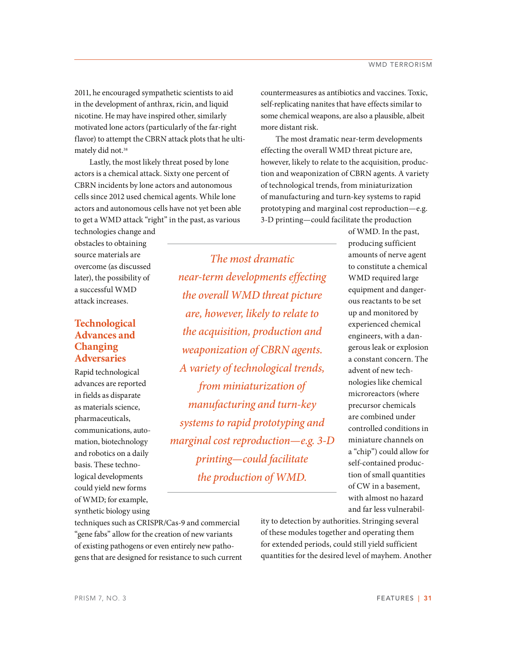2011, he encouraged sympathetic scientists to aid in the development of anthrax, ricin, and liquid nicotine. He may have inspired other, similarly motivated lone actors (particularly of the far-right flavor) to attempt the CBRN attack plots that he ultimately did not.<sup>38</sup>

Lastly, the most likely threat posed by lone actors is a chemical attack. Sixty one percent of CBRN incidents by lone actors and autonomous cells since 2012 used chemical agents. While lone actors and autonomous cells have not yet been able to get a WMD attack "right" in the past, as various

technologies change and obstacles to obtaining source materials are overcome (as discussed later), the possibility of a successful WMD attack increases.

# **Technological Advances and Changing Adversaries**

Rapid technological advances are reported in fields as disparate as materials science, pharmaceuticals, communications, automation, biotechnology and robotics on a daily basis. These technological developments could yield new forms of WMD; for example, synthetic biology using

*The most dramatic near-term developments effecting the overall WMD threat picture are, however, likely to relate to the acquisition, production and weaponization of CBRN agents. A variety of technological trends, from miniaturization of manufacturing and turn-key systems to rapid prototyping and marginal cost reproduction—e.g. 3-D printing—could facilitate the production of WMD.* 

countermeasures as antibiotics and vaccines. Toxic, self-replicating nanites that have effects similar to some chemical weapons, are also a plausible, albeit more distant risk.

The most dramatic near-term developments effecting the overall WMD threat picture are, however, likely to relate to the acquisition, production and weaponization of CBRN agents. A variety of technological trends, from miniaturization of manufacturing and turn-key systems to rapid prototyping and marginal cost reproduction—e.g. 3-D printing—could facilitate the production

> of WMD. In the past, producing sufficient amounts of nerve agent to constitute a chemical WMD required large equipment and dangerous reactants to be set up and monitored by experienced chemical engineers, with a dangerous leak or explosion a constant concern. The advent of new technologies like chemical microreactors (where precursor chemicals are combined under controlled conditions in miniature channels on a "chip") could allow for self-contained production of small quantities of CW in a basement, with almost no hazard and far less vulnerabil-

techniques such as CRISPR/Cas-9 and commercial "gene fabs" allow for the creation of new variants of existing pathogens or even entirely new pathogens that are designed for resistance to such current ity to detection by authorities. Stringing several of these modules together and operating them for extended periods, could still yield sufficient quantities for the desired level of mayhem. Another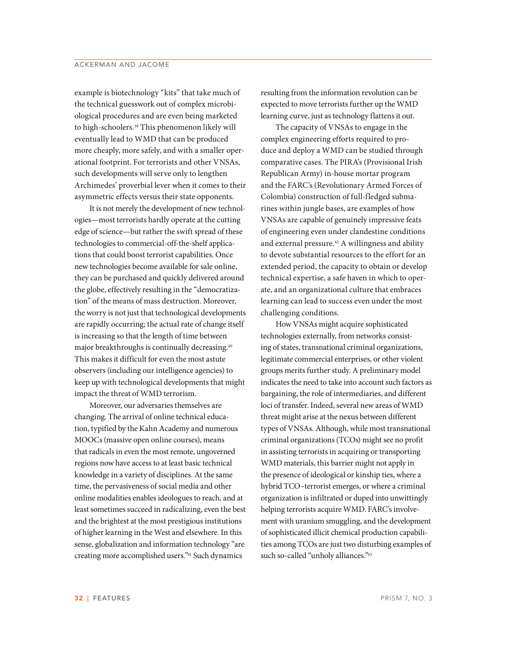example is biotechnology "kits" that take much of the technical guesswork out of complex microbiological procedures and are even being marketed to high-schoolers.<sup>39</sup> This phenomenon likely will eventually lead to WMD that can be produced more cheaply, more safely, and with a smaller operational footprint. For terrorists and other VNSAs, such developments will serve only to lengthen Archimedes' proverbial lever when it comes to their asymmetric effects versus their state opponents.

It is not merely the development of new technologies—most terrorists hardly operate at the cutting edge of science—but rather the swift spread of these technologies to commercial-off-the-shelf applications that could boost terrorist capabilities. Once new technologies become available for sale online, they can be purchased and quickly delivered around the globe, effectively resulting in the "democratization" of the means of mass destruction. Moreover, the worry is not just that technological developments are rapidly occurring; the actual rate of change itself is increasing so that the length of time between major breakthroughs is continually decreasing.40 This makes it difficult for even the most astute observers (including our intelligence agencies) to keep up with technological developments that might impact the threat of WMD terrorism.

Moreover, our adversaries themselves are changing. The arrival of online technical education, typified by the Kahn Academy and numerous MOOCs (massive open online courses), means that radicals in even the most remote, ungoverned regions now have access to at least basic technical knowledge in a variety of disciplines. At the same time, the pervasiveness of social media and other online modalities enables ideologues to reach, and at least sometimes succeed in radicalizing, even the best and the brightest at the most prestigious institutions of higher learning in the West and elsewhere. In this sense, globalization and information technology "are creating more accomplished users."41 Such dynamics

resulting from the information revolution can be expected to move terrorists further up the WMD learning curve, just as technology flattens it out.

The capacity of VNSAs to engage in the complex engineering efforts required to produce and deploy a WMD can be studied through comparative cases. The PIRA's (Provisional Irish Republican Army) in-house mortar program and the FARC's (Revolutionary Armed Forces of Colombia) construction of full-fledged submarines within jungle bases, are examples of how VNSAs are capable of genuinely impressive feats of engineering even under clandestine conditions and external pressure.<sup>42</sup> A willingness and ability to devote substantial resources to the effort for an extended period, the capacity to obtain or develop technical expertise, a safe haven in which to operate, and an organizational culture that embraces learning can lead to success even under the most challenging conditions.

How VNSAs might acquire sophisticated technologies externally, from networks consisting of states, transnational criminal organizations, legitimate commercial enterprises, or other violent groups merits further study. A preliminary model indicates the need to take into account such factors as bargaining, the role of intermediaries, and different loci of transfer. Indeed, several new areas of WMD threat might arise at the nexus between different types of VNSAs. Although, while most transnational criminal organizations (TCOs) might see no profit in assisting terrorists in acquiring or transporting WMD materials, this barrier might not apply in the presence of ideological or kinship ties, where a hybrid TCO–terrorist emerges, or where a criminal organization is infiltrated or duped into unwittingly helping terrorists acquire WMD. FARC's involvement with uranium smuggling, and the development of sophisticated illicit chemical production capabilities among TCOs are just two disturbing examples of such so-called "unholy alliances."43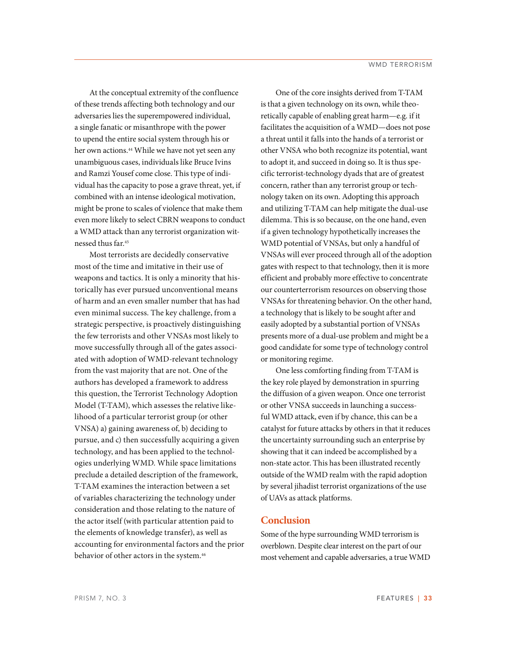At the conceptual extremity of the confluence of these trends affecting both technology and our adversaries lies the superempowered individual, a single fanatic or misanthrope with the power to upend the entire social system through his or her own actions.<sup>44</sup> While we have not yet seen any unambiguous cases, individuals like Bruce Ivins and Ramzi Yousef come close. This type of individual has the capacity to pose a grave threat, yet, if combined with an intense ideological motivation, might be prone to scales of violence that make them even more likely to select CBRN weapons to conduct a WMD attack than any terrorist organization witnessed thus far.45

Most terrorists are decidedly conservative most of the time and imitative in their use of weapons and tactics. It is only a minority that historically has ever pursued unconventional means of harm and an even smaller number that has had even minimal success. The key challenge, from a strategic perspective, is proactively distinguishing the few terrorists and other VNSAs most likely to move successfully through all of the gates associated with adoption of WMD-relevant technology from the vast majority that are not. One of the authors has developed a framework to address this question, the Terrorist Technology Adoption Model (T-TAM), which assesses the relative likelihood of a particular terrorist group (or other VNSA) a) gaining awareness of, b) deciding to pursue, and c) then successfully acquiring a given technology, and has been applied to the technologies underlying WMD. While space limitations preclude a detailed description of the framework, T-TAM examines the interaction between a set of variables characterizing the technology under consideration and those relating to the nature of the actor itself (with particular attention paid to the elements of knowledge transfer), as well as accounting for environmental factors and the prior behavior of other actors in the system.<sup>46</sup>

One of the core insights derived from T-TAM is that a given technology on its own, while theoretically capable of enabling great harm—e.g. if it facilitates the acquisition of a WMD—does not pose a threat until it falls into the hands of a terrorist or other VNSA who both recognize its potential, want to adopt it, and succeed in doing so. It is thus specific terrorist-technology dyads that are of greatest concern, rather than any terrorist group or technology taken on its own. Adopting this approach and utilizing T-TAM can help mitigate the dual-use dilemma. This is so because, on the one hand, even if a given technology hypothetically increases the WMD potential of VNSAs, but only a handful of VNSAs will ever proceed through all of the adoption gates with respect to that technology, then it is more efficient and probably more effective to concentrate our counterterrorism resources on observing those VNSAs for threatening behavior. On the other hand, a technology that is likely to be sought after and easily adopted by a substantial portion of VNSAs presents more of a dual-use problem and might be a good candidate for some type of technology control or monitoring regime.

One less comforting finding from T-TAM is the key role played by demonstration in spurring the diffusion of a given weapon. Once one terrorist or other VNSA succeeds in launching a successful WMD attack, even if by chance, this can be a catalyst for future attacks by others in that it reduces the uncertainty surrounding such an enterprise by showing that it can indeed be accomplished by a non-state actor. This has been illustrated recently outside of the WMD realm with the rapid adoption by several jihadist terrorist organizations of the use of UAVs as attack platforms.

# **Conclusion**

Some of the hype surrounding WMD terrorism is overblown. Despite clear interest on the part of our most vehement and capable adversaries, a true WMD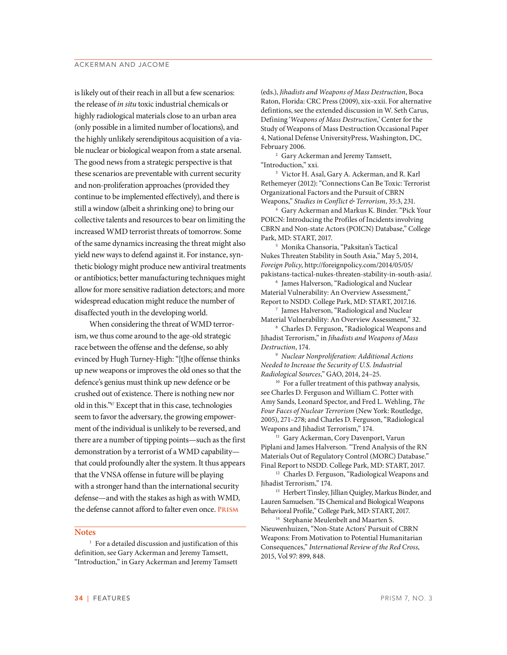## ACKERMAN AND JACOME

is likely out of their reach in all but a few scenarios: the release of *in situ* toxic industrial chemicals or highly radiological materials close to an urban area (only possible in a limited number of locations), and the highly unlikely serendipitous acquisition of a viable nuclear or biological weapon from a state arsenal. The good news from a strategic perspective is that these scenarios are preventable with current security and non-proliferation approaches (provided they continue to be implemented effectively), and there is still a window (albeit a shrinking one) to bring our collective talents and resources to bear on limiting the increased WMD terrorist threats of tomorrow. Some of the same dynamics increasing the threat might also yield new ways to defend against it. For instance, synthetic biology might produce new antiviral treatments or antibiotics; better manufacturing techniques might allow for more sensitive radiation detectors; and more widespread education might reduce the number of disaffected youth in the developing world.

When considering the threat of WMD terrorism, we thus come around to the age-old strategic race between the offense and the defense, so ably evinced by Hugh Turney-High: "[t]he offense thinks up new weapons or improves the old ones so that the defence's genius must think up new defence or be crushed out of existence. There is nothing new nor old in this."47 Except that in this case, technologies seem to favor the adversary, the growing empowerment of the individual is unlikely to be reversed, and there are a number of tipping points—such as the first demonstration by a terrorist of a WMD capability that could profoundly alter the system. It thus appears that the VNSA offense in future will be playing with a stronger hand than the international security defense—and with the stakes as high as with WMD, the defense cannot afford to falter even once. **Prism**

## **Notes**

<sup>1</sup> For a detailed discussion and justification of this definition, see Gary Ackerman and Jeremy Tamsett, "Introduction," in Gary Ackerman and Jeremy Tamsett

(eds.), *Jihadists and Weapons of Mass Destruction*, Boca Raton, Florida: CRC Press (2009), xix–xxii. For alternative defintions, see the extended discussion in W. Seth Carus, Defining '*Weapons of Mass Destruction*,' Center for the Study of Weapons of Mass Destruction Occasional Paper 4, National Defense UniversityPress, Washington, DC, February 2006.

2 Gary Ackerman and Jeremy Tamsett, "Introduction," xxi.

3 Victor H. Asal, Gary A. Ackerman, and R. Karl Rethemeyer (2012): "Connections Can Be Toxic: Terrorist Organizational Factors and the Pursuit of CBRN Weapons," *Studies in Conflict & Terrorism*, 35:3, 231.

4 Gary Ackerman and Markus K. Binder. "Pick Your POICN: Introducing the Profiles of Incidents involving CBRN and Non-state Actors (POICN) Database," College Park, MD: START, 2017.

5 Monika Chansoria, "Paksitan's Tactical Nukes Threaten Stability in South Asia," May 5, 2014, *Foreign Policy*, http://foreignpolicy.com/2014/05/05/ pakistans-tactical-nukes-threaten-stability-in-south-asia/.

6 James Halverson, "Radiological and Nuclear Material Vulnerability: An Overview Assessment," Report to NSDD. College Park, MD: START, 2017.16.

7 James Halverson, "Radiological and Nuclear Material Vulnerability: An Overview Assessment," 32.

8 Charles D. Ferguson, "Radiological Weapons and Jihadist Terrorism," in *Jihadists and Weapons of Mass Destruction*, 174.

<sup>9</sup> *Nuclear Nonproliferation: Additional Actions Needed to Increase the Security of U.S. Industrial Radiological Sources*," GAO, 2014, 24–25.

<sup>10</sup> For a fuller treatment of this pathway analysis, see Charles D. Ferguson and William C. Potter with Amy Sands, Leonard Spector, and Fred L. Wehling, *The Four Faces of Nuclear Terrorism* (New York: Routledge, 2005), 271–278; and Charles D. Ferguson, "Radiological Weapons and Jihadist Terrorism," 174.

<sup>11</sup> Gary Ackerman, Cory Davenport, Varun Piplani and James Halverson. "Trend Analysis of the RN Materials Out of Regulatory Control (MORC) Database." Final Report to NSDD. College Park, MD: START, 2017.

<sup>12</sup> Charles D. Ferguson, "Radiological Weapons and Jihadist Terrorism," 174.

<sup>13</sup> Herbert Tinsley, Jillian Quigley, Markus Binder, and Lauren Samuelsen. "IS Chemical and Biological Weapons Behavioral Profile," College Park, MD: START, 2017.

<sup>14</sup> Stephanie Meulenbelt and Maarten S. Nieuwenhuizen, "Non-State Actors' Pursuit of CBRN Weapons: From Motivation to Potential Humanitarian Consequences," *International Review of the Red Cross*, 2015, Vol 97: 899, 848.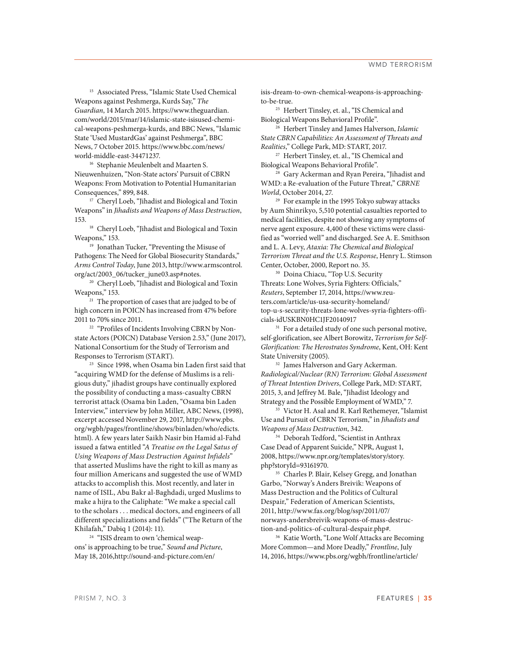15 Associated Press, "Islamic State Used Chemical Weapons against Peshmerga, Kurds Say," *The Guardian*, 14 March 2015. https://www.theguardian. com/world/2015/mar/14/islamic-state-isisused-chemical-weapons-peshmerga-kurds, and BBC News, "Islamic State 'Used MustardGas' against Peshmerga", BBC News, 7 October 2015. https://www.bbc.com/news/ world-middle-east-34471237.

16 Stephanie Meulenbelt and Maarten S. Nieuwenhuizen, "Non-State actors' Pursuit of CBRN Weapons: From Motivation to Potential Humanitarian Consequences," 899, 848.

<sup>17</sup> Cheryl Loeb, "Jihadist and Biological and Toxin Weapons" in *Jihadists and Weapons of Mass Destruction*, 153.

<sup>18</sup> Cheryl Loeb, "Jihadist and Biological and Toxin Weapons," 153.

19 Jonathan Tucker, "Preventing the Misuse of Pathogens: The Need for Global Biosecurity Standards," *Arms Control Today*, June 2013, http://www.armscontrol. org/act/2003\_06/tucker\_june03.asp#notes.

20 Cheryl Loeb, "Jihadist and Biological and Toxin Weapons," 153.

<sup>21</sup> The proportion of cases that are judged to be of high concern in POICN has increased from 47% before 2011 to 70% since 2011.

<sup>22</sup> "Profiles of Incidents Involving CBRN by Nonstate Actors (POICN) Database Version 2.53," (June 2017), National Consortium for the Study of Terrorism and Responses to Terrorism (START).

23 Since 1998, when Osama bin Laden first said that "acquiring WMD for the defense of Muslims is a religious duty," jihadist groups have continually explored the possibility of conducting a mass-casualty CBRN terrorist attack (Osama bin Laden, "Osama bin Laden Interview," interview by John Miller, ABC News, (1998), excerpt accessed November 29, 2017, http://www.pbs. org/wgbh/pages/frontline/shows/binladen/who/edicts. html). A few years later Saikh Nasir bin Hamid al-Fahd issued a fatwa entitled "*A Treatise on the Legal Satus of Using Weapons of Mass Destruction Against Infidels*" that asserted Muslims have the right to kill as many as four million Americans and suggested the use of WMD attacks to accomplish this. Most recently, and later in name of ISIL, Abu Bakr al-Baghdadi, urged Muslims to make a hijra to the Caliphate: "We make a special call to the scholars . . . medical doctors, and engineers of all different specializations and fields" ("The Return of the Khilafah," Dabiq 1 (2014): 11).

<sup>24</sup> "ISIS dream to own 'chemical weapons' is approaching to be true," *Sound and Picture*, May 18, 2016,http://sound-and-picture.com/en/

isis-dream-to-own-chemical-weapons-is-approachingto-be-true.

<sup>25</sup> Herbert Tinsley, et. al., "IS Chemical and Biological Weapons Behavioral Profile".

26 Herbert Tinsley and James Halverson, *Islamic State CBRN Capabilities: An Assessment of Threats and Realities*," College Park, MD: START, 2017.

27 Herbert Tinsley, et. al., "IS Chemical and Biological Weapons Behavioral Profile".

<sup>28</sup> Gary Ackerman and Ryan Pereira, "Jihadist and WMD: a Re-evaluation of the Future Threat," *CBRNE World*, October 2014, 27.

<sup>29</sup> For example in the 1995 Tokyo subway attacks by Aum Shinrikyo, 5,510 potential casualties reported to medical facilities, despite not showing any symptoms of nerve agent exposure. 4,400 of these victims were classified as "worried well" and discharged. See A. E. Smithson and L. A. Levy, *Ataxia: The Chemical and Biological Terrorism Threat and the U.S. Response*, Henry L. Stimson Center, October, 2000, Report no. 35.

<sup>30</sup> Doina Chiacu, "Top U.S. Security Threats: Lone Wolves, Syria Fighters: Officials," *Reuters*, September 17, 2014, https://www.reuters.com/article/us-usa-security-homeland/ top-u-s-security-threats-lone-wolves-syria-fighters-officials-idUSKBN0HC1JF20140917

<sup>31</sup> For a detailed study of one such personal motive, self-glorification, see Albert Borowitz, *Terrorism for Self-Glorification: The Herostratos Syndrome*, Kent, OH: Kent State University (2005).  $32$  James Halverson and Gary Ackerman.

*Radiological/Nuclear (RN) Terrorism: Global Assessment of Threat Intention Drivers*, College Park, MD: START, 2015, 3, and Jeffrey M. Bale, "Jihadist Ideology and Strategy and the Possible Employment of WMD," 7.

33 Victor H. Asal and R. Karl Rethemeyer, "Islamist Use and Pursuit of CBRN Terrorism," in *Jihadists and Weapons of Mass Destruction*, 342.

34 Deborah Tedford, "Scientist in Anthrax Case Dead of Apparent Suicide," NPR, August 1, 2008, https://www.npr.org/templates/story/story. php?storyId=93161970.

35 Charles P. Blair, Kelsey Gregg, and Jonathan Garbo, "Norway's Anders Breivik: Weapons of Mass Destruction and the Politics of Cultural Despair," Federation of American Scientists, 2011, http://www.fas.org/blog/ssp/2011/07/ norways-andersbreivik-weapons-of-mass-destruction-and-politics-of-cultural-despair.php#.

36 Katie Worth, "Lone Wolf Attacks are Becoming More Common—and More Deadly," *Frontline*, July 14, 2016, https://www.pbs.org/wgbh/frontline/article/